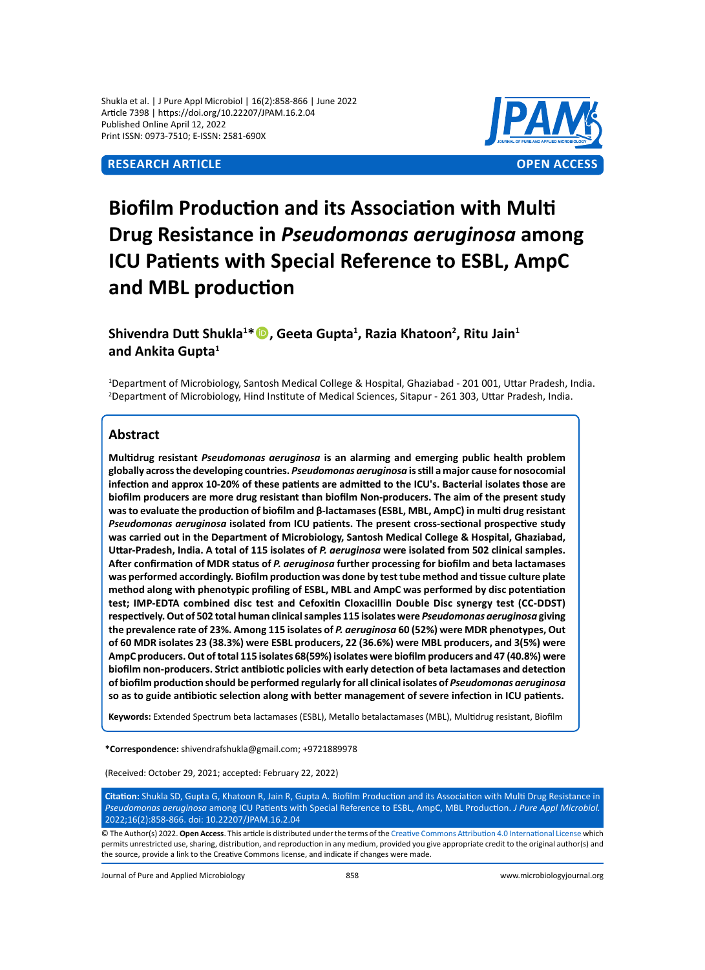

# **Biofilm Production and its Association with Multi Drug Resistance in** *Pseudomonas aeruginosa* **among ICU Patients with Special Reference to ESBL, AmpC and MBL production**

## **Shivendra Dutt Shukla<sup>1</sup> \*, Geeta Gupta<sup>1</sup> , Razia Khatoon<sup>2</sup> , Ritu Jain<sup>1</sup> and Ankita Gupta<sup>1</sup>**

1 Department of Microbiology, Santosh Medical College & Hospital, Ghaziabad - 201 001, Uttar Pradesh, India. 2 Department of Microbiology, Hind Institute of Medical Sciences, Sitapur - 261 303, Uttar Pradesh, India.

### **Abstract**

**Multidrug resistant** *Pseudomonas aeruginosa* **is an alarming and emerging public health problem globally across the developing countries.** *Pseudomonas aeruginosa* **is still a major cause for nosocomial infection and approx 10-20% of these patients are admitted to the ICU's. Bacterial isolates those are biofilm producers are more drug resistant than biofilm Non-producers. The aim of the present study was to evaluate the production of biofilm and β-lactamases (ESBL, MBL, AmpC) in multi drug resistant**  *Pseudomonas aeruginosa* **isolated from ICU patients. The present cross-sectional prospective study was carried out in the Department of Microbiology, Santosh Medical College & Hospital, Ghaziabad, Uttar-Pradesh, India. A total of 115 isolates of** *P. aeruginosa* **were isolated from 502 clinical samples. After confirmation of MDR status of** *P. aeruginosa* **further processing for biofilm and beta lactamases was performed accordingly. Biofilm production was done by test tube method and tissue culture plate method along with phenotypic profiling of ESBL, MBL and AmpC was performed by disc potentiation test; IMP-EDTA combined disc test and Cefoxitin Cloxacillin Double Disc synergy test (CC-DDST) respectively. Out of 502 total human clinical samples 115 isolates were** *Pseudomonas aeruginosa* **giving the prevalence rate of 23%. Among 115 isolates of** *P. aeruginosa* **60 (52%) were MDR phenotypes, Out of 60 MDR isolates 23 (38.3%) were ESBL producers, 22 (36.6%) were MBL producers, and 3(5%) were AmpC producers. Out of total 115 isolates 68(59%) isolates were biofilm producers and 47 (40.8%) were biofilm non-producers. Strict antibiotic policies with early detection of beta lactamases and detection of biofilm production should be performed regularly for all clinical isolates of** *Pseudomonas aeruginosa* **so as to guide antibiotic selection along with better management of severe infection in ICU patients.**

**Keywords:** Extended Spectrum beta lactamases (ESBL), Metallo betalactamases (MBL), Multidrug resistant, Biofilm

**\*Correspondence:** shivendrafshukla@gmail.com; +9721889978

(Received: October 29, 2021; accepted: February 22, 2022)

**Citation:** Shukla SD, Gupta G, Khatoon R, Jain R, Gupta A. Biofilm Production and its Association with Multi Drug Resistance in *Pseudomonas aeruginosa* among ICU Patients with Special Reference to ESBL, AmpC, MBL Production. *J Pure Appl Microbiol.*  2022;16(2):858-866. doi: 10.22207/JPAM.16.2.04

© The Author(s) 2022. **Open Access**. This article is distributed under the terms of the [Creative Commons Attribution 4.0 International License](https://creativecommons.org/licenses/by/4.0/) which permits unrestricted use, sharing, distribution, and reproduction in any medium, provided you give appropriate credit to the original author(s) and the source, provide a link to the Creative Commons license, and indicate if changes were made.

Journal of Pure and Applied Microbiology 858 www.microbiologyjournal.org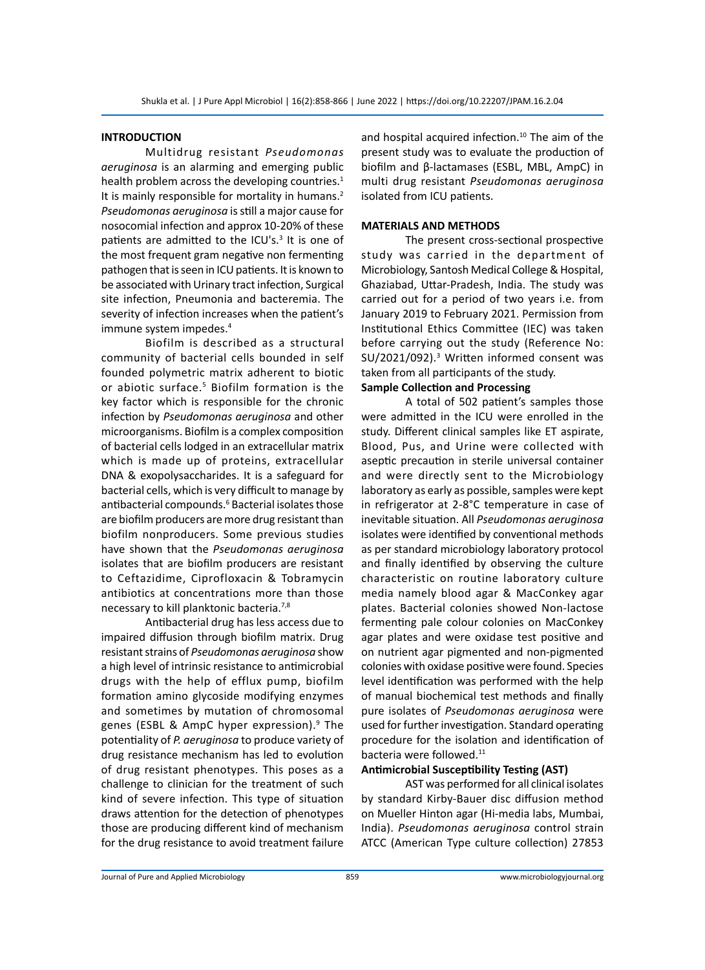#### **INTRODUCTION**

Multidrug resistant *Pseudomonas aeruginosa* is an alarming and emerging public health problem across the developing countries.<sup>1</sup> It is mainly responsible for mortality in humans.<sup>2</sup> *Pseudomonas aeruginosa* is still a major cause for nosocomial infection and approx 10-20% of these patients are admitted to the ICU's.<sup>3</sup> It is one of the most frequent gram negative non fermenting pathogen that is seen in ICU patients. It is known to be associated with Urinary tract infection, Surgical site infection, Pneumonia and bacteremia. The severity of infection increases when the patient's immune system impedes.<sup>4</sup>

Biofilm is described as a structural community of bacterial cells bounded in self founded polymetric matrix adherent to biotic or abiotic surface.<sup>5</sup> Biofilm formation is the key factor which is responsible for the chronic infection by *Pseudomonas aeruginosa* and other microorganisms. Biofilm is a complex composition of bacterial cells lodged in an extracellular matrix which is made up of proteins, extracellular DNA & exopolysaccharides. It is a safeguard for bacterial cells, which is very difficult to manage by antibacterial compounds.<sup>6</sup> Bacterial isolates those are biofilm producers are more drug resistant than biofilm nonproducers. Some previous studies have shown that the *Pseudomonas aeruginosa* isolates that are biofilm producers are resistant to Ceftazidime, Ciprofloxacin & Tobramycin antibiotics at concentrations more than those necessary to kill planktonic bacteria.7,8

Antibacterial drug has less access due to impaired diffusion through biofilm matrix. Drug resistant strains of *Pseudomonas aeruginosa* show a high level of intrinsic resistance to antimicrobial drugs with the help of efflux pump, biofilm formation amino glycoside modifying enzymes and sometimes by mutation of chromosomal genes (ESBL & AmpC hyper expression).<sup>9</sup> The potentiality of *P. aeruginosa* to produce variety of drug resistance mechanism has led to evolution of drug resistant phenotypes. This poses as a challenge to clinician for the treatment of such kind of severe infection. This type of situation draws attention for the detection of phenotypes those are producing different kind of mechanism for the drug resistance to avoid treatment failure

and hospital acquired infection.<sup>10</sup> The aim of the present study was to evaluate the production of biofilm and β-lactamases (ESBL, MBL, AmpC) in multi drug resistant *Pseudomonas aeruginosa* isolated from ICU patients.

#### **MATERIALS AND METHODS**

The present cross-sectional prospective study was carried in the department of Microbiology, Santosh Medical College & Hospital, Ghaziabad, Uttar-Pradesh, India. The study was carried out for a period of two years i.e. from January 2019 to February 2021. Permission from Institutional Ethics Committee (IEC) was taken before carrying out the study (Reference No: SU/2021/092).<sup>3</sup> Written informed consent was taken from all participants of the study.

#### **Sample Collection and Processing**

A total of 502 patient's samples those were admitted in the ICU were enrolled in the study. Different clinical samples like ET aspirate, Blood, Pus, and Urine were collected with aseptic precaution in sterile universal container and were directly sent to the Microbiology laboratory as early as possible, samples were kept in refrigerator at 2-8°C temperature in case of inevitable situation. All *Pseudomonas aeruginosa* isolates were identified by conventional methods as per standard microbiology laboratory protocol and finally identified by observing the culture characteristic on routine laboratory culture media namely blood agar & MacConkey agar plates. Bacterial colonies showed Non-lactose fermenting pale colour colonies on MacConkey agar plates and were oxidase test positive and on nutrient agar pigmented and non-pigmented colonies with oxidase positive were found. Species level identification was performed with the help of manual biochemical test methods and finally pure isolates of *Pseudomonas aeruginosa* were used for further investigation. Standard operating procedure for the isolation and identification of bacteria were followed.<sup>11</sup>

#### **Antimicrobial Susceptibility Testing (AST)**

AST was performed for all clinical isolates by standard Kirby-Bauer disc diffusion method on Mueller Hinton agar (Hi-media labs, Mumbai, India). *Pseudomonas aeruginosa* control strain ATCC (American Type culture collection) 27853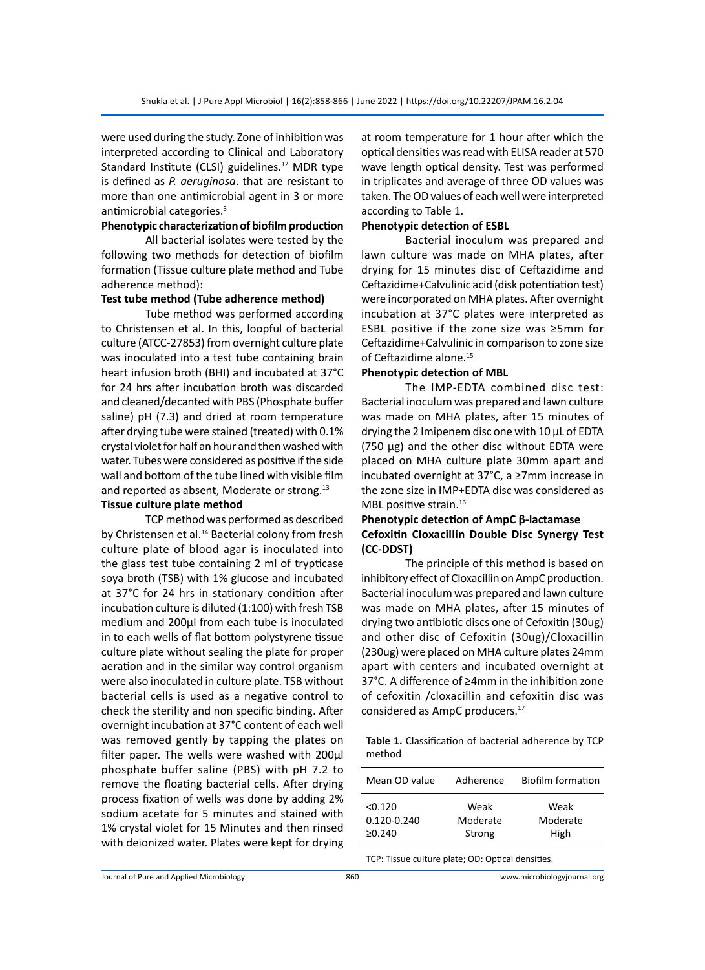were used during the study. Zone of inhibition was interpreted according to Clinical and Laboratory Standard Institute (CLSI) guidelines.<sup>12</sup> MDR type is defined as *P. aeruginosa*. that are resistant to more than one antimicrobial agent in 3 or more antimicrobial categories.<sup>3</sup>

#### **Phenotypic characterization of biofilm production**

All bacterial isolates were tested by the following two methods for detection of biofilm formation (Tissue culture plate method and Tube adherence method):

#### **Test tube method (Tube adherence method)**

Tube method was performed according to Christensen et al. In this, loopful of bacterial culture (ATCC-27853) from overnight culture plate was inoculated into a test tube containing brain heart infusion broth (BHI) and incubated at 37°C for 24 hrs after incubation broth was discarded and cleaned/decanted with PBS (Phosphate buffer saline) pH (7.3) and dried at room temperature after drying tube were stained (treated) with 0.1% crystal violet for half an hour and then washed with water. Tubes were considered as positive if the side wall and bottom of the tube lined with visible film and reported as absent, Moderate or strong.<sup>13</sup>

#### **Tissue culture plate method**

TCP method was performed as described by Christensen et al.<sup>14</sup> Bacterial colony from fresh culture plate of blood agar is inoculated into the glass test tube containing 2 ml of trypticase soya broth (TSB) with 1% glucose and incubated at 37°C for 24 hrs in stationary condition after incubation culture is diluted (1:100) with fresh TSB medium and 200μl from each tube is inoculated in to each wells of flat bottom polystyrene tissue culture plate without sealing the plate for proper aeration and in the similar way control organism were also inoculated in culture plate. TSB without bacterial cells is used as a negative control to check the sterility and non specific binding. After overnight incubation at 37°C content of each well was removed gently by tapping the plates on filter paper. The wells were washed with 200μl phosphate buffer saline (PBS) with pH 7.2 to remove the floating bacterial cells. After drying process fixation of wells was done by adding 2% sodium acetate for 5 minutes and stained with 1% crystal violet for 15 Minutes and then rinsed with deionized water. Plates were kept for drying at room temperature for 1 hour after which the optical densities was read with ELISA reader at 570 wave length optical density. Test was performed in triplicates and average of three OD values was taken. The OD values of each well were interpreted according to Table 1.

#### **Phenotypic detection of ESBL**

Bacterial inoculum was prepared and lawn culture was made on MHA plates, after drying for 15 minutes disc of Ceftazidime and Ceftazidime+Calvulinic acid (disk potentiation test) were incorporated on MHA plates. After overnight incubation at 37°C plates were interpreted as ESBL positive if the zone size was ≥5mm for Ceftazidime+Calvulinic in comparison to zone size of Ceftazidime alone.<sup>15</sup>

#### **Phenotypic detection of MBL**

The IMP-EDTA combined disc test: Bacterial inoculum was prepared and lawn culture was made on MHA plates, after 15 minutes of drying the 2 Imipenem disc one with 10 µL of EDTA (750 µg) and the other disc without EDTA were placed on MHA culture plate 30mm apart and incubated overnight at 37°C, a ≥7mm increase in the zone size in IMP+EDTA disc was considered as MBL positive strain.<sup>16</sup>

#### **Phenotypic detection of AmpC β-lactamase Cefoxitin Cloxacillin Double Disc Synergy Test (CC-DDST)**

The principle of this method is based on inhibitory effect of Cloxacillin on AmpC production. Bacterial inoculum was prepared and lawn culture was made on MHA plates, after 15 minutes of drying two antibiotic discs one of Cefoxitin (30ug) and other disc of Cefoxitin (30ug)/Cloxacillin (230ug) were placed on MHA culture plates 24mm apart with centers and incubated overnight at 37°C. A difference of ≥4mm in the inhibition zone of cefoxitin /cloxacillin and cefoxitin disc was considered as AmpC producers.17

**Table 1.** Classification of bacterial adherence by TCP method

| Mean OD value                         | Adherence                  | <b>Biofilm formation</b> |
|---------------------------------------|----------------------------|--------------------------|
| < 0.120<br>0.120-0.240<br>$\ge 0.240$ | Weak<br>Moderate<br>Strong | Weak<br>Moderate<br>High |
|                                       |                            |                          |

TCP: Tissue culture plate; OD: Optical densities.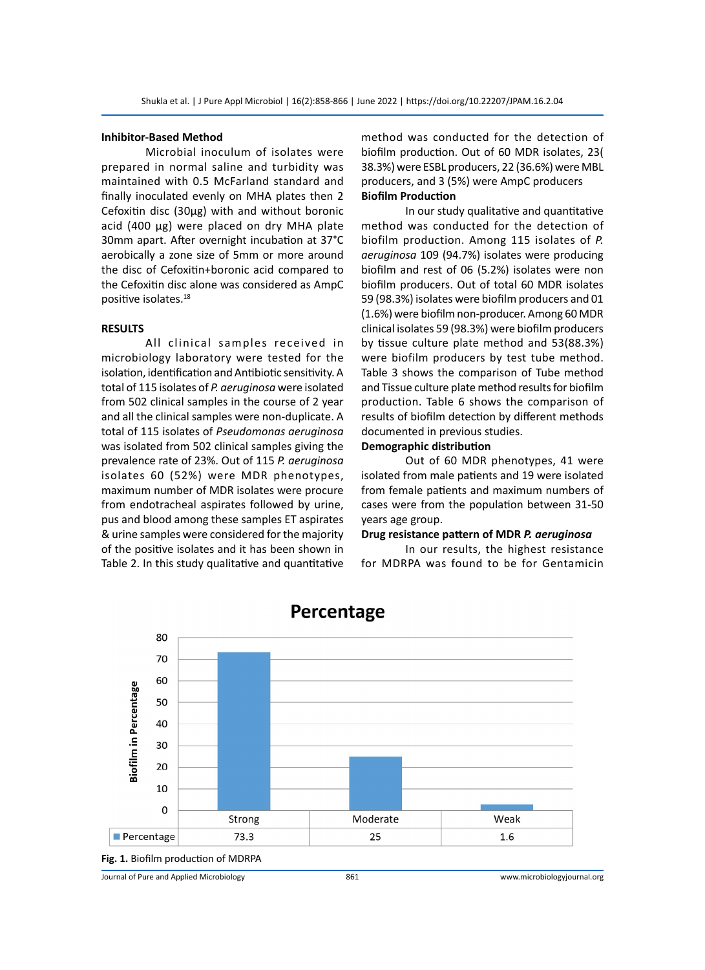#### **Inhibitor-Based Method**

Microbial inoculum of isolates were prepared in normal saline and turbidity was maintained with 0.5 McFarland standard and finally inoculated evenly on MHA plates then 2 Cefoxitin disc (30μg) with and without boronic acid (400 μg) were placed on dry MHA plate 30mm apart. After overnight incubation at 37°C aerobically a zone size of 5mm or more around the disc of Cefoxitin+boronic acid compared to the Cefoxitin disc alone was considered as AmpC positive isolates.<sup>18</sup>

#### **RESULTS**

All clinical samples received in microbiology laboratory were tested for the isolation, identification and Antibiotic sensitivity. A total of 115 isolates of *P. aeruginosa* were isolated from 502 clinical samples in the course of 2 year and all the clinical samples were non-duplicate. A total of 115 isolates of *Pseudomonas aeruginosa* was isolated from 502 clinical samples giving the prevalence rate of 23%. Out of 115 *P. aeruginosa* isolates 60 (52%) were MDR phenotypes, maximum number of MDR isolates were procure from endotracheal aspirates followed by urine, pus and blood among these samples ET aspirates & urine samples were considered for the majority of the positive isolates and it has been shown in Table 2. In this study qualitative and quantitative method was conducted for the detection of biofilm production. Out of 60 MDR isolates, 23( 38.3%) were ESBL producers, 22 (36.6%) were MBL producers, and 3 (5%) were AmpC producers **Biofilm Production**

In our study qualitative and quantitative method was conducted for the detection of biofilm production. Among 115 isolates of *P. aeruginosa* 109 (94.7%) isolates were producing biofilm and rest of 06 (5.2%) isolates were non biofilm producers. Out of total 60 MDR isolates 59 (98.3%) isolates were biofilm producers and 01 (1.6%) were biofilm non-producer. Among 60 MDR clinical isolates 59 (98.3%) were biofilm producers by tissue culture plate method and 53(88.3%) were biofilm producers by test tube method. Table 3 shows the comparison of Tube method and Tissue culture plate method results for biofilm production. Table 6 shows the comparison of results of biofilm detection by different methods documented in previous studies.

#### **Demographic distribution**

Out of 60 MDR phenotypes, 41 were isolated from male patients and 19 were isolated from female patients and maximum numbers of cases were from the population between 31-50 years age group.

#### **Drug resistance pattern of MDR** *P. aeruginosa*

In our results, the highest resistance for MDRPA was found to be for Gentamicin



# Percentage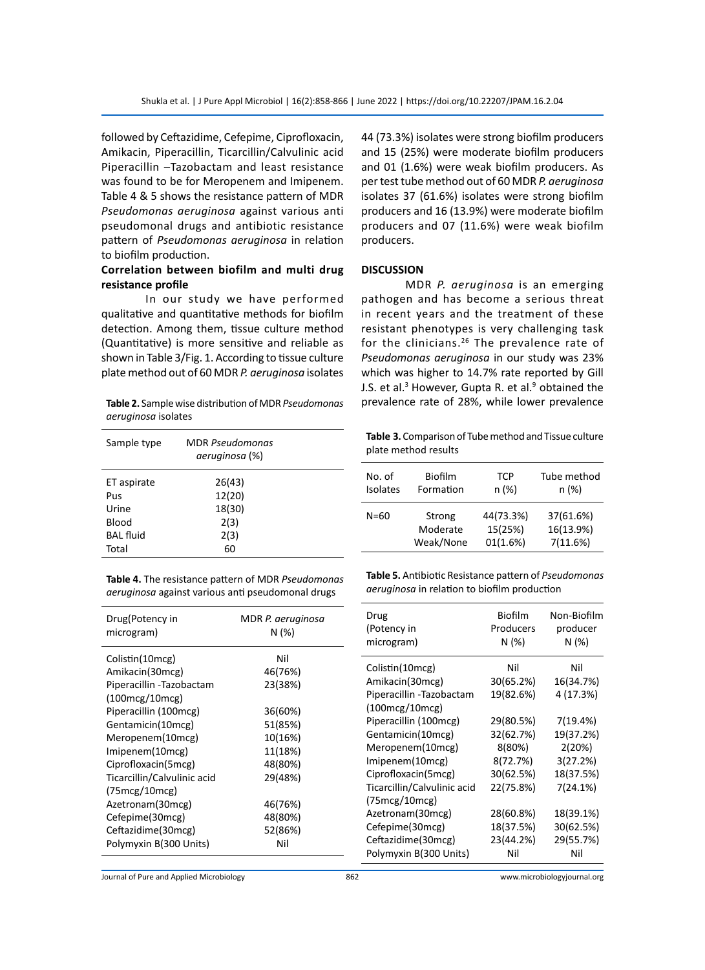followed by Ceftazidime, Cefepime, Ciprofloxacin, Amikacin, Piperacillin, Ticarcillin/Calvulinic acid Piperacillin –Tazobactam and least resistance was found to be for Meropenem and Imipenem. Table 4 & 5 shows the resistance pattern of MDR *Pseudomonas aeruginosa* against various anti pseudomonal drugs and antibiotic resistance pattern of *Pseudomonas aeruginosa* in relation to biofilm production.

#### **Correlation between biofilm and multi drug resistance profile**

In our study we have performed qualitative and quantitative methods for biofilm detection. Among them, tissue culture method (Quantitative) is more sensitive and reliable as shown in Table 3/Fig. 1. According to tissue culture plate method out of 60 MDR *P. aeruginosa* isolates

**Table 2.** Sample wise distribution of MDR *Pseudomonas aeruginosa* isolates

| Sample type      | <b>MDR</b> Pseudomonas<br>aeruginosa (%) |  |
|------------------|------------------------------------------|--|
| ET aspirate      | 26(43)                                   |  |
|                  |                                          |  |
| Pus              | 12(20)                                   |  |
| Urine            | 18(30)                                   |  |
| Blood            | 2(3)                                     |  |
| <b>BAL</b> fluid | 2(3)                                     |  |
| Total            | 60                                       |  |

**Table 4.** The resistance pattern of MDR *Pseudomonas aeruginosa* against various anti pseudomonal drugs

| Drug(Potency in<br>microgram)   | MDR P. aeruginosa<br>N (%) |  |  |  |
|---------------------------------|----------------------------|--|--|--|
| Colistin(10mcg)                 | Nil                        |  |  |  |
| Amikacin(30mcg)                 | 46(76%)                    |  |  |  |
| Piperacillin -Tazobactam        | 23(38%)                    |  |  |  |
| (100mcg/10mcg)                  |                            |  |  |  |
| Piperacillin (100mcg)           | 36(60%)                    |  |  |  |
| Gentamicin(10mcg)               | 51(85%)                    |  |  |  |
| Meropenem(10mcg)                | 10(16%)                    |  |  |  |
| Imipenem(10mcg)                 | 11(18%)                    |  |  |  |
| Ciprofloxacin(5mcg)             | 48(80%)                    |  |  |  |
| Ticarcillin/Calvulinic acid     | 29(48%)                    |  |  |  |
| $(75 \text{mcg}/10 \text{mcg})$ |                            |  |  |  |
| Azetronam(30mcg)                | 46(76%)                    |  |  |  |
| Cefepime(30mcg)                 | 48(80%)                    |  |  |  |
| Ceftazidime(30mcg)              | 52(86%)                    |  |  |  |
| Polymyxin B(300 Units)          | Nil                        |  |  |  |
|                                 |                            |  |  |  |

44 (73.3%) isolates were strong biofilm producers and 15 (25%) were moderate biofilm producers and 01 (1.6%) were weak biofilm producers. As per test tube method out of 60 MDR *P. aeruginosa* isolates 37 (61.6%) isolates were strong biofilm producers and 16 (13.9%) were moderate biofilm producers and 07 (11.6%) were weak biofilm producers.

#### **DISCUSSION**

MDR *P. aeruginosa* is an emerging pathogen and has become a serious threat in recent years and the treatment of these resistant phenotypes is very challenging task for the clinicians.<sup>26</sup> The prevalence rate of *Pseudomonas aeruginosa* in our study was 23% which was higher to 14.7% rate reported by Gill J.S. et al.<sup>3</sup> However, Gupta R. et al.<sup>9</sup> obtained the prevalence rate of 28%, while lower prevalence

**Table 3.** Comparison of Tube method and Tissue culture plate method results

| No. of          | Biofilm   | <b>TCP</b> | Tube method |
|-----------------|-----------|------------|-------------|
| <b>Isolates</b> | Formation | n (%)      | n (%)       |
| $N = 60$        | Strong    | 44(73.3%)  | 37(61.6%)   |
|                 | Moderate  | 15(25%)    | 16(13.9%)   |
|                 | Weak/None | 01(1.6%)   | 7(11.6%)    |

**Table 5.** Antibiotic Resistance pattern of *Pseudomonas aeruginosa* in relation to biofilm production

| Drug                        | Biofilm   | Non-Biofilm |
|-----------------------------|-----------|-------------|
| (Potency in                 | Producers | producer    |
| microgram)                  | N (%)     | N (%)       |
| Colistin(10mcg)             | Nil       | Nil         |
| Amikacin(30mcg)             | 30(65.2%) | 16(34.7%)   |
| Piperacillin -Tazobactam    | 19(82.6%) | 4 (17.3%)   |
| (100mcg/10mcg)              |           |             |
| Piperacillin (100mcg)       | 29(80.5%) | 7(19.4%)    |
| Gentamicin(10mcg)           | 32(62.7%) | 19(37.2%)   |
| Meropenem(10mcg)            | 8(80%)    | 2(20%)      |
| Imipenem(10mcg)             | 8(72.7%)  | 3(27.2%)    |
| Ciprofloxacin(5mcg)         | 30(62.5%) | 18(37.5%)   |
| Ticarcillin/Calvulinic acid | 22(75.8%) | 7(24.1%)    |
| (75 mcg/10 mcg)             |           |             |
| Azetronam(30mcg)            | 28(60.8%) | 18(39.1%)   |
| Cefepime(30mcg)             | 18(37.5%) | 30(62.5%)   |
| Ceftazidime(30mcg)          | 23(44.2%) | 29(55.7%)   |
| Polymyxin B(300 Units)      | Nil       | Nil         |

Journal of Pure and Applied Microbiology 862 www.microbiologyjournal.org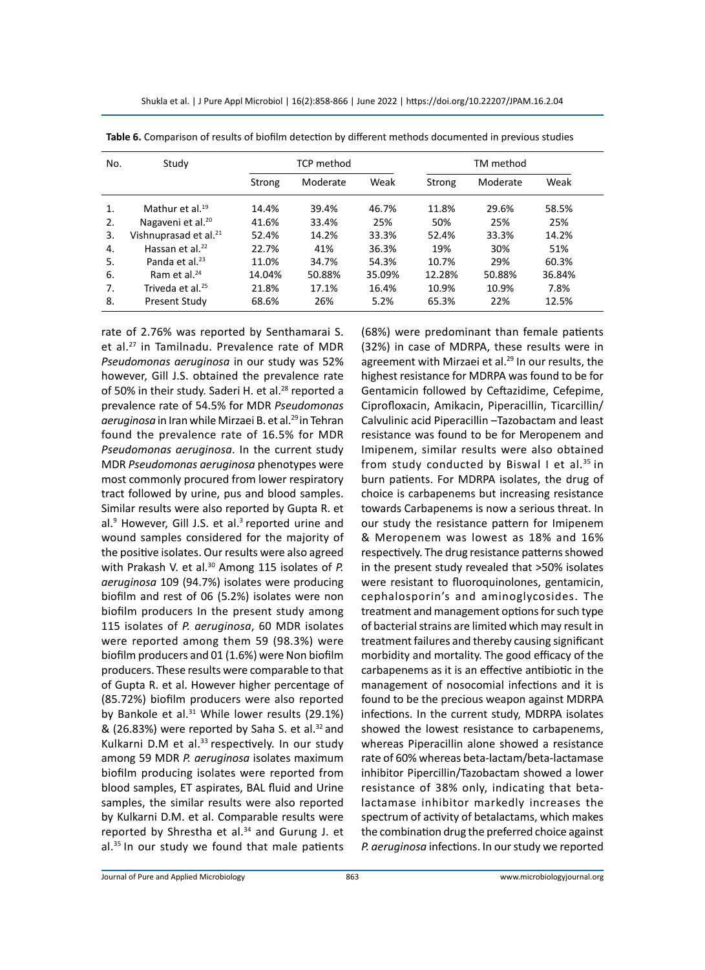| Shukla et al.   J Pure Appl Microbiol   16(2):858-866   June 2022   https://doi.org/10.22207/JPAM.16.2.04 |  |  |  |  |
|-----------------------------------------------------------------------------------------------------------|--|--|--|--|
|-----------------------------------------------------------------------------------------------------------|--|--|--|--|

| No. | Study                             | <b>TCP</b> method |          | TM method |        |          |        |
|-----|-----------------------------------|-------------------|----------|-----------|--------|----------|--------|
|     |                                   | Strong            | Moderate | Weak      | Strong | Moderate | Weak   |
| 1.  | Mathur et al. <sup>19</sup>       | 14.4%             | 39.4%    | 46.7%     | 11.8%  | 29.6%    | 58.5%  |
| 2.  | Nagaveni et al. <sup>20</sup>     | 41.6%             | 33.4%    | 25%       | 50%    | 25%      | 25%    |
| 3.  | Vishnuprasad et al. <sup>21</sup> | 52.4%             | 14.2%    | 33.3%     | 52.4%  | 33.3%    | 14.2%  |
| 4.  | Hassan et al. $^{22}$             | 22.7%             | 41%      | 36.3%     | 19%    | 30%      | 51%    |
| 5.  | Panda et al. <sup>23</sup>        | 11.0%             | 34.7%    | 54.3%     | 10.7%  | 29%      | 60.3%  |
| 6.  | Ram et al. $24$                   | 14.04%            | 50.88%   | 35.09%    | 12.28% | 50.88%   | 36.84% |
| 7.  | Triveda et al. <sup>25</sup>      | 21.8%             | 17.1%    | 16.4%     | 10.9%  | 10.9%    | 7.8%   |
| 8.  | Present Study                     | 68.6%             | 26%      | 5.2%      | 65.3%  | 22%      | 12.5%  |

**Table 6.** Comparison of results of biofilm detection by different methods documented in previous studies

rate of 2.76% was reported by Senthamarai S. et al.<sup>27</sup> in Tamilnadu. Prevalence rate of MDR *Pseudomonas aeruginosa* in our study was 52% however, Gill J.S. obtained the prevalence rate of 50% in their study. Saderi H. et al.<sup>28</sup> reported a prevalence rate of 54.5% for MDR *Pseudomonas aeruginosa* in Iran while Mirzaei B. et al.29 in Tehran found the prevalence rate of 16.5% for MDR *Pseudomonas aeruginosa*. In the current study MDR *Pseudomonas aeruginosa* phenotypes were most commonly procured from lower respiratory tract followed by urine, pus and blood samples. Similar results were also reported by Gupta R. et al.<sup>9</sup> However, Gill J.S. et al.<sup>3</sup> reported urine and wound samples considered for the majority of the positive isolates. Our results were also agreed with Prakash V. et al.<sup>30</sup> Among 115 isolates of *P. aeruginosa* 109 (94.7%) isolates were producing biofilm and rest of 06 (5.2%) isolates were non biofilm producers In the present study among 115 isolates of *P. aeruginosa*, 60 MDR isolates were reported among them 59 (98.3%) were biofilm producers and 01 (1.6%) were Non biofilm producers. These results were comparable to that of Gupta R. et al. However higher percentage of (85.72%) biofilm producers were also reported by Bankole et al. $31$  While lower results (29.1%) & (26.83%) were reported by Saha S. et al. $32$  and Kulkarni D.M et al. $33$  respectively. In our study among 59 MDR *P. aeruginosa* isolates maximum biofilm producing isolates were reported from blood samples, ET aspirates, BAL fluid and Urine samples, the similar results were also reported by Kulkarni D.M. et al. Comparable results were reported by Shrestha et al.<sup>34</sup> and Gurung J. et al.35 In our study we found that male patients

(68%) were predominant than female patients (32%) in case of MDRPA, these results were in agreement with Mirzaei et al.<sup>29</sup> In our results, the highest resistance for MDRPA was found to be for Gentamicin followed by Ceftazidime, Cefepime, Ciprofloxacin, Amikacin, Piperacillin, Ticarcillin/ Calvulinic acid Piperacillin –Tazobactam and least resistance was found to be for Meropenem and Imipenem, similar results were also obtained from study conducted by Biswal I et al. $35$  in burn patients. For MDRPA isolates, the drug of choice is carbapenems but increasing resistance towards Carbapenems is now a serious threat. In our study the resistance pattern for Imipenem & Meropenem was lowest as 18% and 16% respectively. The drug resistance patterns showed in the present study revealed that >50% isolates were resistant to fluoroquinolones, gentamicin, cephalosporin's and aminoglycosides. The treatment and management options for such type of bacterial strains are limited which may result in treatment failures and thereby causing significant morbidity and mortality. The good efficacy of the carbapenems as it is an effective antibiotic in the management of nosocomial infections and it is found to be the precious weapon against MDRPA infections. In the current study, MDRPA isolates showed the lowest resistance to carbapenems, whereas Piperacillin alone showed a resistance rate of 60% whereas beta-lactam/beta-lactamase inhibitor Pipercillin/Tazobactam showed a lower resistance of 38% only, indicating that betalactamase inhibitor markedly increases the spectrum of activity of betalactams, which makes the combination drug the preferred choice against *P. aeruginosa* infections. In our study we reported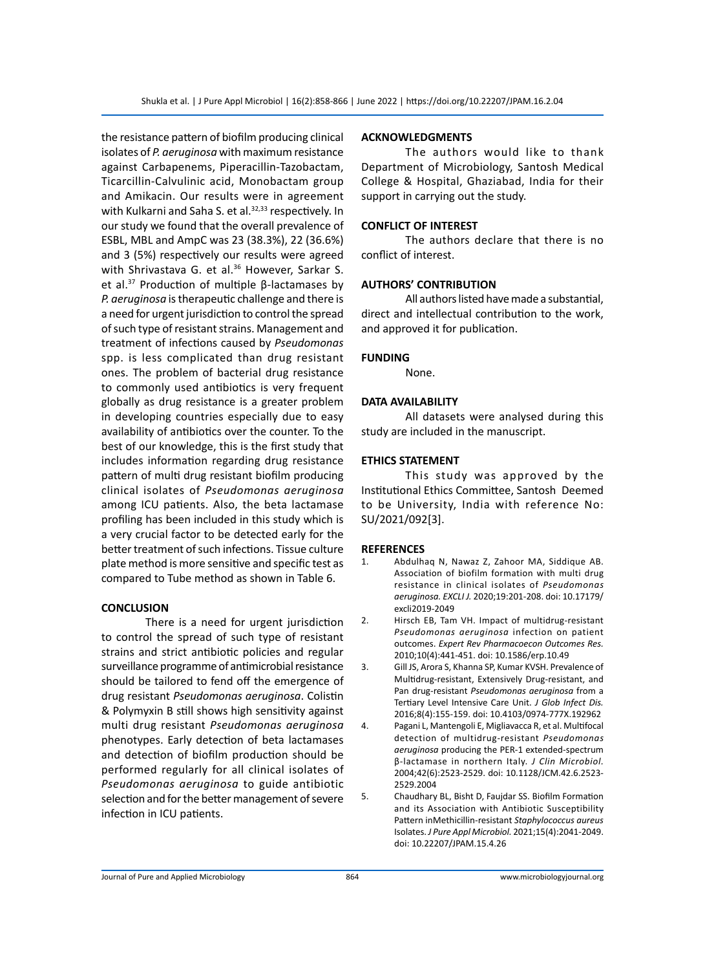the resistance pattern of biofilm producing clinical isolates of *P. aeruginosa* with maximum resistance against Carbapenems, Piperacillin-Tazobactam, Ticarcillin-Calvulinic acid, Monobactam group and Amikacin. Our results were in agreement with Kulkarni and Saha S. et al.<sup>32,33</sup> respectively. In our study we found that the overall prevalence of ESBL, MBL and AmpC was 23 (38.3%), 22 (36.6%) and 3 (5%) respectively our results were agreed with Shrivastava G. et al.<sup>36</sup> However, Sarkar S. et al.37 Production of multiple β-lactamases by *P. aeruginosa* is therapeutic challenge and there is a need for urgent jurisdiction to control the spread of such type of resistant strains. Management and treatment of infections caused by *Pseudomonas*  spp. is less complicated than drug resistant ones. The problem of bacterial drug resistance to commonly used antibiotics is very frequent globally as drug resistance is a greater problem in developing countries especially due to easy availability of antibiotics over the counter. To the best of our knowledge, this is the first study that includes information regarding drug resistance pattern of multi drug resistant biofilm producing clinical isolates of *Pseudomonas aeruginosa* among ICU patients. Also, the beta lactamase profiling has been included in this study which is a very crucial factor to be detected early for the better treatment of such infections. Tissue culture plate method is more sensitive and specific test as compared to Tube method as shown in Table 6.

#### **CONCLUSION**

There is a need for urgent jurisdiction to control the spread of such type of resistant strains and strict antibiotic policies and regular surveillance programme of antimicrobial resistance should be tailored to fend off the emergence of drug resistant *Pseudomonas aeruginosa*. Colistin & Polymyxin B still shows high sensitivity against multi drug resistant *Pseudomonas aeruginosa* phenotypes. Early detection of beta lactamases and detection of biofilm production should be performed regularly for all clinical isolates of *Pseudomonas aeruginosa* to guide antibiotic selection and for the better management of severe infection in ICU patients.

#### **ACKNOWLEDGMENTS**

The authors would like to thank Department of Microbiology, Santosh Medical College & Hospital, Ghaziabad, India for their support in carrying out the study.

#### **CONFLICT OF INTEREST**

The authors declare that there is no conflict of interest.

#### **AUTHORS' CONTRIBUTION**

All authors listed have made a substantial, direct and intellectual contribution to the work, and approved it for publication.

#### **FUNDING**

None.

#### **DATA AVAILABILITY**

All datasets were analysed during this study are included in the manuscript.

#### **ETHICS STATEMENT**

This study was approved by the Institutional Ethics Committee, Santosh Deemed to be University, India with reference No: SU/2021/092[3].

#### **REFERENCES**

- 1. Abdulhaq N, Nawaz Z, Zahoor MA, Siddique AB. Association of biofilm formation with multi drug resistance in clinical isolates of *Pseudomonas aeruginosa. EXCLI J.* 2020;19:201-208. doi: 10.17179/ excli2019-2049
- 2. Hirsch EB, Tam VH. Impact of multidrug-resistant *Pseudomonas aeruginosa* infection on patient outcomes. *Expert Rev Pharmacoecon Outcomes Res.* 2010;10(4):441-451. doi: 10.1586/erp.10.49
- 3. Gill JS, Arora S, Khanna SP, Kumar KVSH. Prevalence of Multidrug-resistant, Extensively Drug-resistant, and Pan drug-resistant *Pseudomonas aeruginosa* from a Tertiary Level Intensive Care Unit. *J Glob Infect Dis.* 2016;8(4):155-159. doi: 10.4103/0974-777X.192962
- 4. Pagani L, Mantengoli E, Migliavacca R, et al. Multifocal detection of multidrug-resistant *Pseudomonas aeruginosa* producing the PER-1 extended-spectrum β-lactamase in northern Italy. *J Clin Microbiol.*  2004;42(6):2523-2529. doi: 10.1128/JCM.42.6.2523- 2529.2004
- 5. Chaudhary BL, Bisht D, Faujdar SS. Biofilm Formation and its Association with Antibiotic Susceptibility Pattern inMethicillin-resistant *Staphylococcus aureus*  Isolates. *J Pure Appl Microbiol.* 2021;15(4):2041-2049. doi: 10.22207/JPAM.15.4.26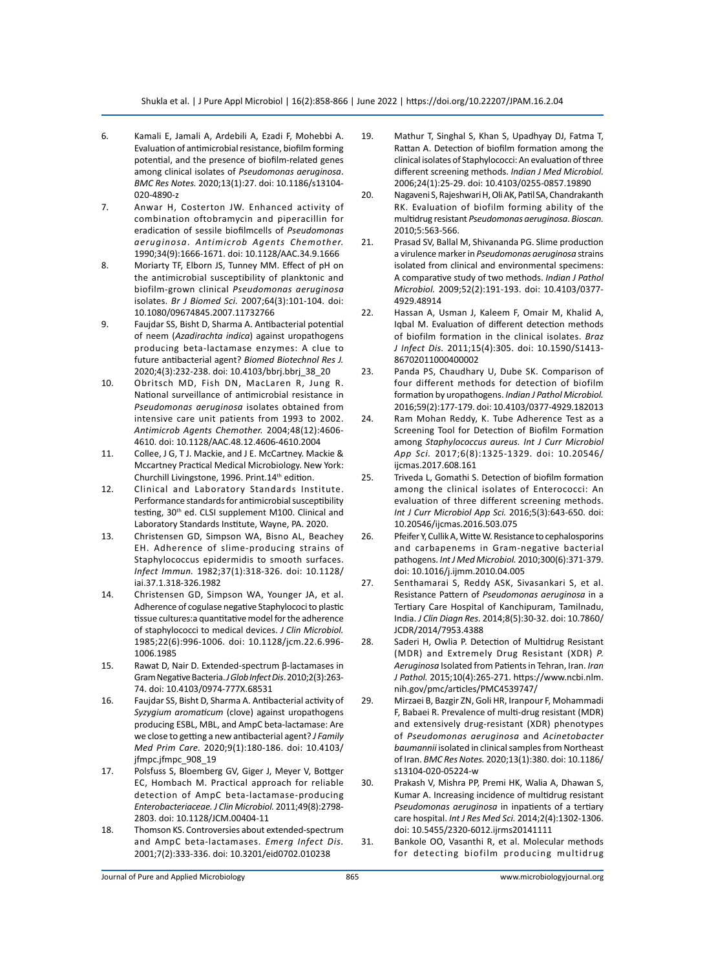- 6. Kamali E, Jamali A, Ardebili A, Ezadi F, Mohebbi A. Evaluation of antimicrobial resistance, biofilm forming potential, and the presence of biofilm-related genes among clinical isolates of *Pseudomonas aeruginosa*. *BMC Res Notes.* 2020;13(1):27. doi: 10.1186/s13104- 020-4890-z
- 7. Anwar H, Costerton JW. Enhanced activity of combination oftobramycin and piperacillin for eradication of sessile biofilmcells of *Pseudomonas aeruginosa*. *Antimicrob Agents Chemother.*  1990;34(9):1666-1671. doi: 10.1128/AAC.34.9.1666
- 8. Moriarty TF, Elborn JS, Tunney MM. Effect of pH on the antimicrobial susceptibility of planktonic and biofilm-grown clinical *Pseudomonas aeruginosa* isolates. *Br J Biomed Sci.* 2007;64(3):101-104. doi: 10.1080/09674845.2007.11732766
- 9. Faujdar SS, Bisht D, Sharma A. Antibacterial potential of neem (*Azadirachta indica*) against uropathogens producing beta-lactamase enzymes: A clue to future antibacterial agent? *Biomed Biotechnol Res J.* 2020;4(3):232-238. doi: 10.4103/bbrj.bbrj\_38\_20
- 10. Obritsch MD, Fish DN, MacLaren R, Jung R. National surveillance of antimicrobial resistance in *Pseudomonas aeruginosa* isolates obtained from intensive care unit patients from 1993 to 2002. *Antimicrob Agents Chemother.* 2004;48(12):4606- 4610. doi: 10.1128/AAC.48.12.4606-4610.2004
- 11. Collee, J G, T J. Mackie, and J E. McCartney. Mackie & Mccartney Practical Medical Microbiology. New York: Churchill Livingstone, 1996. Print.14<sup>th</sup> edition.
- 12. Clinical and Laboratory Standards Institute. Performance standards for antimicrobial susceptibility testing, 30<sup>th</sup> ed. CLSI supplement M100. Clinical and Laboratory Standards Institute, Wayne, PA. 2020.
- 13. Christensen GD, Simpson WA, Bisno AL, Beachey EH. Adherence of slime-producing strains of Staphylococcus epidermidis to smooth surfaces. *Infect Immun.* 1982;37(1):318-326. doi: 10.1128/ iai.37.1.318-326.1982
- 14. Christensen GD, Simpson WA, Younger JA, et al. Adherence of cogulase negative Staphylococi to plastic tissue cultures:a quantitative model for the adherence of staphylococci to medical devices. *J Clin Microbiol.*  1985;22(6):996-1006. doi: 10.1128/jcm.22.6.996- 1006.1985
- 15. Rawat D, Nair D. Extended-spectrum β-lactamases in Gram Negative Bacteria. *J Glob Infect Dis*. 2010;2(3):263- 74. doi: 10.4103/0974-777X.68531
- 16. Faujdar SS, Bisht D, Sharma A. Antibacterial activity of *Syzygium aromaticum* (clove) against uropathogens producing ESBL, MBL, and AmpC beta-lactamase: Are we close to getting a new antibacterial agent? *J Family Med Prim Care.* 2020;9(1):180-186. doi: 10.4103/ jfmpc.jfmpc\_908\_19
- 17. Polsfuss S, Bloemberg GV, Giger J, Meyer V, Bottger EC, Hombach M. Practical approach for reliable detection of AmpC beta-lactamase-producing *Enterobacteriaceae.J Clin Microbiol.* 2011;49(8):2798- 2803. doi: 10.1128/JCM.00404-11
- 18. Thomson KS. Controversies about extended-spectrum and AmpC beta-lactamases. *Emerg Infect Dis.* 2001;7(2):333-336. doi: 10.3201/eid0702.010238
- 19. Mathur T, Singhal S, Khan S, Upadhyay DJ, Fatma T, Rattan A. Detection of biofilm formation among the clinical isolates of Staphylococci: An evaluation of three different screening methods. *Indian J Med Microbiol.* 2006;24(1):25-29. doi: 10.4103/0255-0857.19890
- 20. Nagaveni S, Rajeshwari H, Oli AK, Patil SA, Chandrakanth RK. Evaluation of biofilm forming ability of the multidrug resistant *Pseudomonas aeruginosa*. *Bioscan.* 2010;5:563-566.
- 21. Prasad SV, Ballal M, Shivananda PG. Slime production a virulence marker in *Pseudomonas aeruginosa* strains isolated from clinical and environmental specimens: A comparative study of two methods. *Indian J Pathol Microbiol.* 2009;52(2):191-193. doi: 10.4103/0377- 4929.48914
- 22. Hassan A, Usman J, Kaleem F, Omair M, Khalid A, Iqbal M. Evaluation of different detection methods of biofilm formation in the clinical isolates. *Braz J Infect Dis.* 2011;15(4):305. doi: 10.1590/S1413- 86702011000400002
- 23. Panda PS, Chaudhary U, Dube SK. Comparison of four different methods for detection of biofilm formation by uropathogens. *Indian J Pathol Microbiol.* 2016;59(2):177-179. doi: 10.4103/0377-4929.182013
- 24. Ram Mohan Reddy, K. Tube Adherence Test as a Screening Tool for Detection of Biofilm Formation among *Staphylococcus aureus. Int J Curr Microbiol App Sci.* 2017;6(8):1325-1329. doi: 10.20546/ ijcmas.2017.608.161
- 25. Triveda L, Gomathi S. Detection of biofilm formation among the clinical isolates of Enterococci: An evaluation of three different screening methods. *Int J Curr Microbiol App Sci.* 2016;5(3):643-650. doi: 10.20546/ijcmas.2016.503.075
- 26. Pfeifer Y, Cullik A, Witte W. Resistance to cephalosporins and carbapenems in Gram-negative bacterial pathogens. *Int J Med Microbiol.* 2010;300(6):371-379. doi: 10.1016/j.ijmm.2010.04.005
- 27. Senthamarai S, Reddy ASK, Sivasankari S, et al. Resistance Pattern of *Pseudomonas aeruginosa* in a Tertiary Care Hospital of Kanchipuram, Tamilnadu, India. *J Clin Diagn Res.* 2014;8(5):30-32. doi: 10.7860/ JCDR/2014/7953.4388
- 28. Saderi H, Owlia P. Detection of Multidrug Resistant (MDR) and Extremely Drug Resistant (XDR) *P. Aeruginosa* Isolated from Patients in Tehran, Iran. *Iran J Pathol.* 2015;10(4):265-271. https://www.ncbi.nlm. nih.gov/pmc/articles/PMC4539747/
- 29. Mirzaei B, Bazgir ZN, Goli HR, Iranpour F, Mohammadi F, Babaei R. Prevalence of multi-drug resistant (MDR) and extensively drug-resistant (XDR) phenotypes of *Pseudomonas aeruginosa* and *Acinetobacter baumannii* isolated in clinical samples from Northeast of Iran. *BMC Res Notes.* 2020;13(1):380. doi: 10.1186/ s13104-020-05224-w
- 30. Prakash V, Mishra PP, Premi HK, Walia A, Dhawan S, Kumar A. Increasing incidence of multidrug resistant *Pseudomonas aeruginosa* in inpatients of a tertiary care hospital. *Int J Res Med Sci.* 2014;2(4):1302-1306. doi: 10.5455/2320-6012.ijrms20141111
- 31. Bankole OO, Vasanthi R, et al. Molecular methods for detecting biofilm producing multidrug